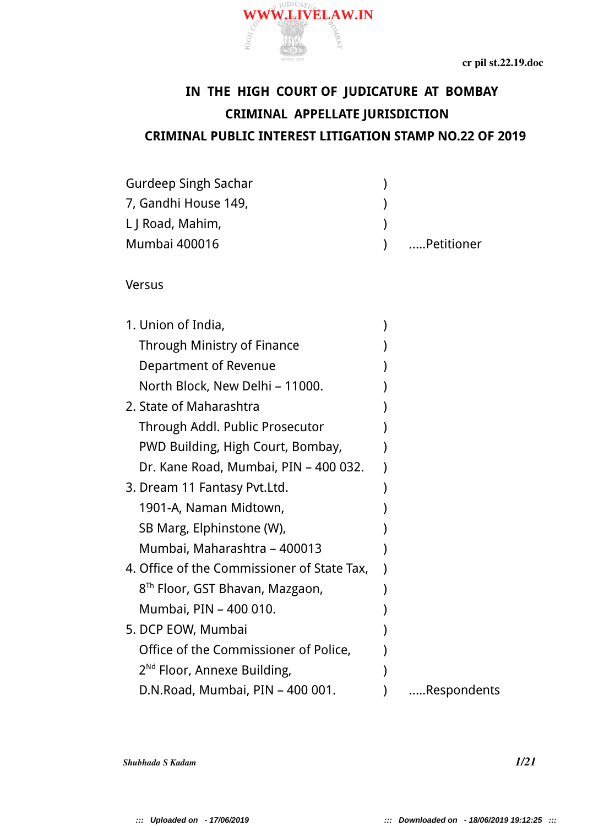# **IN THE HIGH COURT OF JUDICATURE AT BOMBAY CRIMINAL APPELLATE JURISDICTION CRIMINAL PUBLIC INTEREST LITIGATION STAMP NO.22 OF 2019**

 $\prec$ 

| <b>Gurdeep Singh Sachar</b> |             |
|-----------------------------|-------------|
| 7, Gandhi House 149,        |             |
| L J Road, Mahim,            |             |
| <b>Mumbai 400016</b>        | …Petitioner |

 $\equiv$ 

Versus

| 1. Union of India,                          |             |
|---------------------------------------------|-------------|
| <b>Through Ministry of Finance</b>          |             |
| Department of Revenue                       |             |
| North Block, New Delhi - 11000.             |             |
| 2. State of Maharashtra                     |             |
| Through Addl. Public Prosecutor             |             |
| PWD Building, High Court, Bombay,           |             |
| Dr. Kane Road, Mumbai, PIN – 400 032.       |             |
| 3. Dream 11 Fantasy Pvt.Ltd.                |             |
| 1901-A, Naman Midtown,                      |             |
| SB Marg, Elphinstone (W),                   |             |
| Mumbai, Maharashtra – 400013                |             |
| 4. Office of the Commissioner of State Tax, |             |
| 8 <sup>Th</sup> Floor, GST Bhavan, Mazgaon, |             |
| Mumbai, PIN - 400 010.                      |             |
| 5. DCP EOW, Mumbai                          |             |
| Office of the Commissioner of Police,       |             |
| $2^{Nd}$ Floor, Annexe Building,            |             |
| D.N.Road, Mumbai, PIN - 400 001.            | Respondents |

*Shubhada S Kadam 1/21*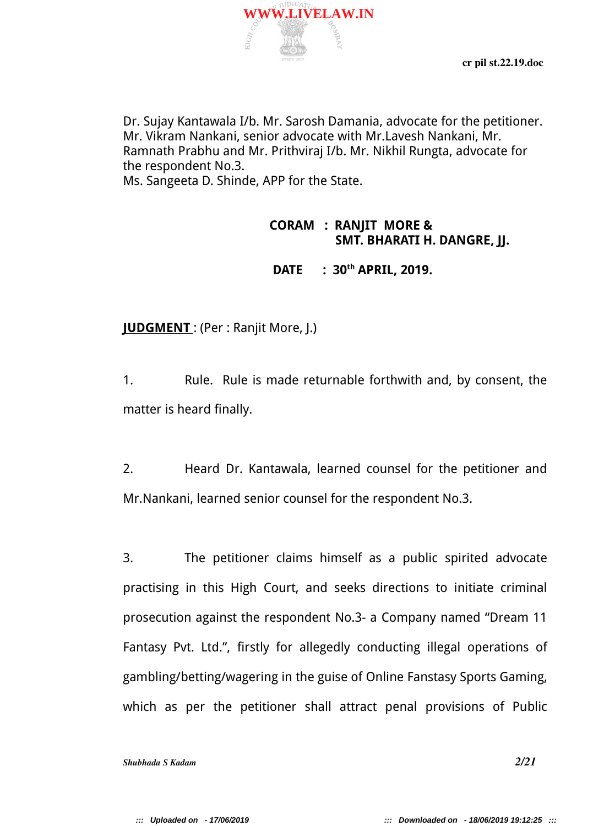Dr. Sujay Kantawala I/b. Mr. Sarosh Damania, advocate for the petitioner. Mr. Vikram Nankani, senior advocate with Mr.Lavesh Nankani, Mr. Ramnath Prabhu and Mr. Prithviraj I/b. Mr. Nikhil Rungta, advocate for the respondent No.3.

Ms. Sangeeta D. Shinde, APP for the State.

耳

### **CORAM : RANJIT MORE & SMT. BHARATI H. DANGRE, JJ.**

 **DATE : 30th APRIL, 2019.**

**JUDGMENT** : (Per : Ranjit More, J.)

1. Rule. Rule is made returnable forthwith and, by consent, the matter is heard finally.

2. Heard Dr. Kantawala, learned counsel for the petitioner and Mr.Nankani, learned senior counsel for the respondent No.3.

3. The petitioner claims himself as a public spirited advocate practising in this High Court, and seeks directions to initiate criminal prosecution against the respondent No.3- a Company named "Dream 11 Fantasy Pvt. Ltd.", firstly for allegedly conducting illegal operations of gambling/betting/wagering in the guise of Online Fanstasy Sports Gaming, which as per the petitioner shall attract penal provisions of Public

*Shubhada S Kadam 2/21*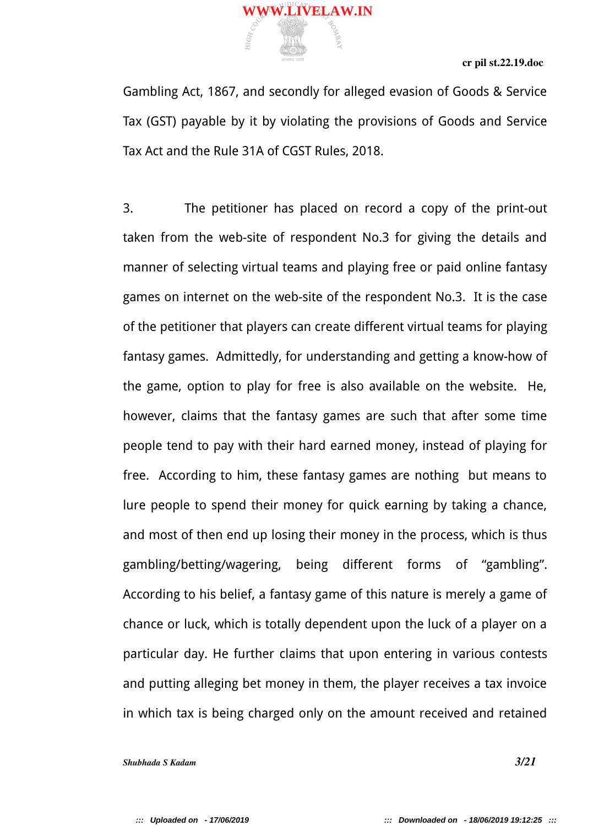Gambling Act, 1867, and secondly for alleged evasion of Goods & Service Tax (GST) payable by it by violating the provisions of Goods and Service Tax Act and the Rule 31A of CGST Rules, 2018.

 $\prec$ 

耳

3. The petitioner has placed on record a copy of the print-out taken from the web-site of respondent No.3 for giving the details and manner of selecting virtual teams and playing free or paid online fantasy games on internet on the web-site of the respondent No.3. It is the case of the petitioner that players can create different virtual teams for playing fantasy games. Admittedly, for understanding and getting a know-how of the game, option to play for free is also available on the website. He, however, claims that the fantasy games are such that after some time people tend to pay with their hard earned money, instead of playing for free. According to him, these fantasy games are nothing but means to lure people to spend their money for quick earning by taking a chance, and most of then end up losing their money in the process, which is thus gambling/betting/wagering, being different forms of "gambling". According to his belief, a fantasy game of this nature is merely a game of chance or luck, which is totally dependent upon the luck of a player on a particular day. He further claims that upon entering in various contests and putting alleging bet money in them, the player receives a tax invoice in which tax is being charged only on the amount received and retained

*Shubhada S Kadam 3/21*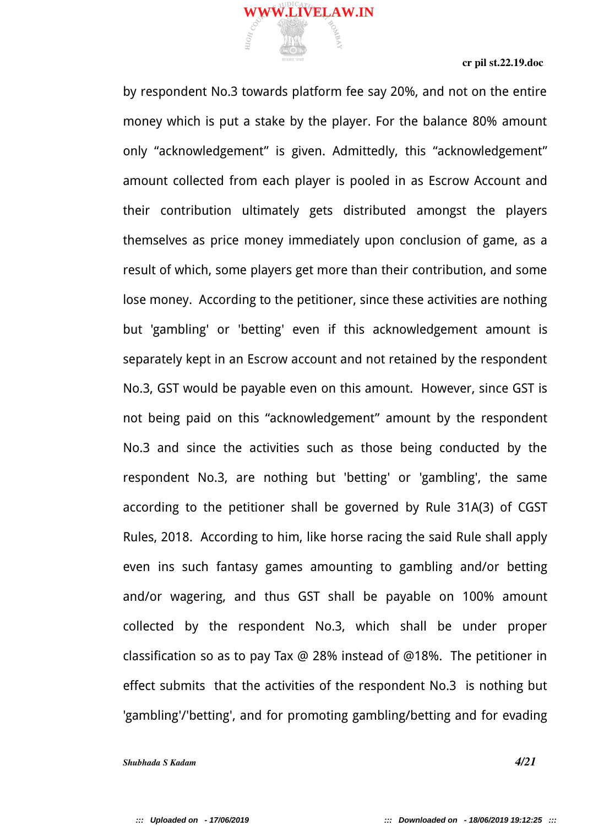by respondent No.3 towards platform fee say 20%, and not on the entire money which is put a stake by the player. For the balance 80% amount only "acknowledgement" is given. Admittedly, this "acknowledgement" amount collected from each player is pooled in as Escrow Account and their contribution ultimately gets distributed amongst the players themselves as price money immediately upon conclusion of game, as a result of which, some players get more than their contribution, and some lose money. According to the petitioner, since these activities are nothing but 'gambling' or 'betting' even if this acknowledgement amount is separately kept in an Escrow account and not retained by the respondent No.3, GST would be payable even on this amount. However, since GST is not being paid on this "acknowledgement" amount by the respondent No.3 and since the activities such as those being conducted by the respondent No.3, are nothing but 'betting' or 'gambling', the same according to the petitioner shall be governed by Rule 31A(3) of CGST Rules, 2018. According to him, like horse racing the said Rule shall apply even ins such fantasy games amounting to gambling and/or betting and/or wagering, and thus GST shall be payable on 100% amount collected by the respondent No.3, which shall be under proper classification so as to pay Tax @ 28% instead of @18%. The petitioner in effect submits that the activities of the respondent No.3 is nothing but 'gambling'/'betting', and for promoting gambling/betting and for evading

 $\prec$ 

耳

*Shubhada S Kadam 4/21*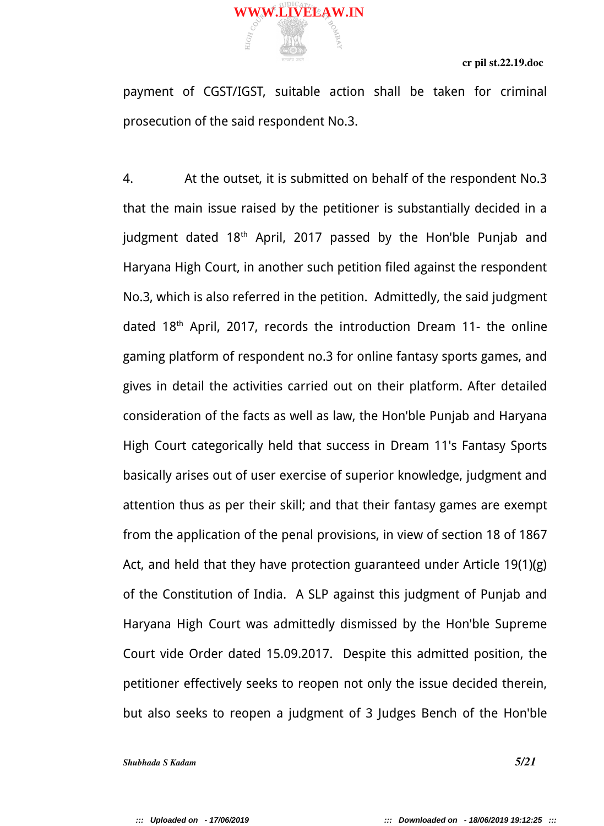payment of CGST/IGST, suitable action shall be taken for criminal prosecution of the said respondent No.3.

耳

4. At the outset, it is submitted on behalf of the respondent No.3 that the main issue raised by the petitioner is substantially decided in a judgment dated 18<sup>th</sup> April, 2017 passed by the Hon'ble Punjab and Haryana High Court, in another such petition filed against the respondent No.3, which is also referred in the petition. Admittedly, the said judgment dated 18th April, 2017, records the introduction Dream 11- the online gaming platform of respondent no.3 for online fantasy sports games, and gives in detail the activities carried out on their platform. After detailed consideration of the facts as well as law, the Hon'ble Punjab and Haryana High Court categorically held that success in Dream 11's Fantasy Sports basically arises out of user exercise of superior knowledge, judgment and attention thus as per their skill; and that their fantasy games are exempt from the application of the penal provisions, in view of section 18 of 1867 Act, and held that they have protection guaranteed under Article 19(1)(g) of the Constitution of India. A SLP against this judgment of Punjab and Haryana High Court was admittedly dismissed by the Hon'ble Supreme Court vide Order dated 15.09.2017. Despite this admitted position, the petitioner effectively seeks to reopen not only the issue decided therein, but also seeks to reopen a judgment of 3 Judges Bench of the Hon'ble

*Shubhada S Kadam 5/21*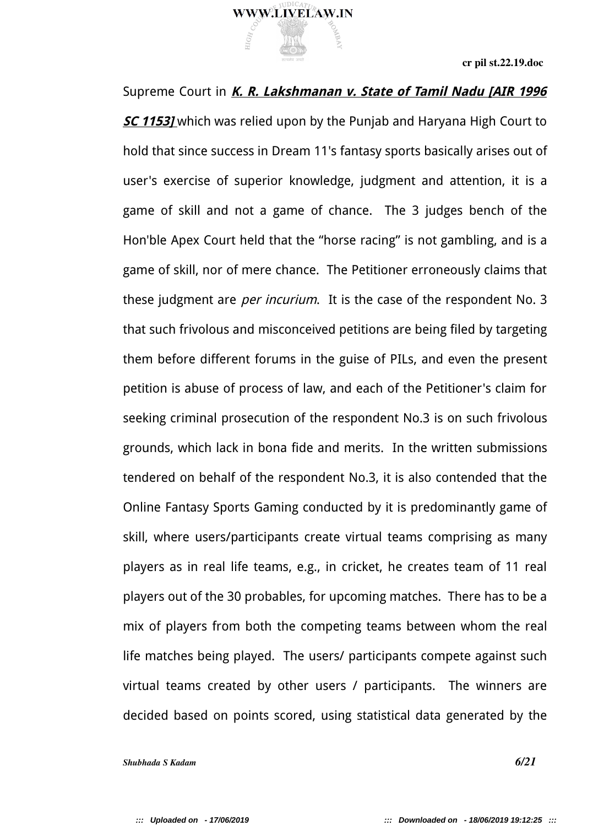

Supreme Court in *K. R. Lakshmanan v. State of Tamil Nadu [AIR 1996* **SC 1153]** which was relied upon by the Punjab and Haryana High Court to hold that since success in Dream 11's fantasy sports basically arises out of user's exercise of superior knowledge, judgment and attention, it is a game of skill and not a game of chance. The 3 judges bench of the Hon'ble Apex Court held that the "horse racing" is not gambling, and is a game of skill, nor of mere chance. The Petitioner erroneously claims that these judgment are *per incurium*. It is the case of the respondent No. 3 that such frivolous and misconceived petitions are being filed by targeting them before different forums in the guise of PILs, and even the present petition is abuse of process of law, and each of the Petitioner's claim for seeking criminal prosecution of the respondent No.3 is on such frivolous grounds, which lack in bona fide and merits. In the written submissions tendered on behalf of the respondent No.3, it is also contended that the Online Fantasy Sports Gaming conducted by it is predominantly game of skill, where users/participants create virtual teams comprising as many players as in real life teams, e.g., in cricket, he creates team of 11 real players out of the 30 probables, for upcoming matches. There has to be a mix of players from both the competing teams between whom the real life matches being played. The users/ participants compete against such virtual teams created by other users / participants. The winners are decided based on points scored, using statistical data generated by the

*Shubhada S Kadam 6/21*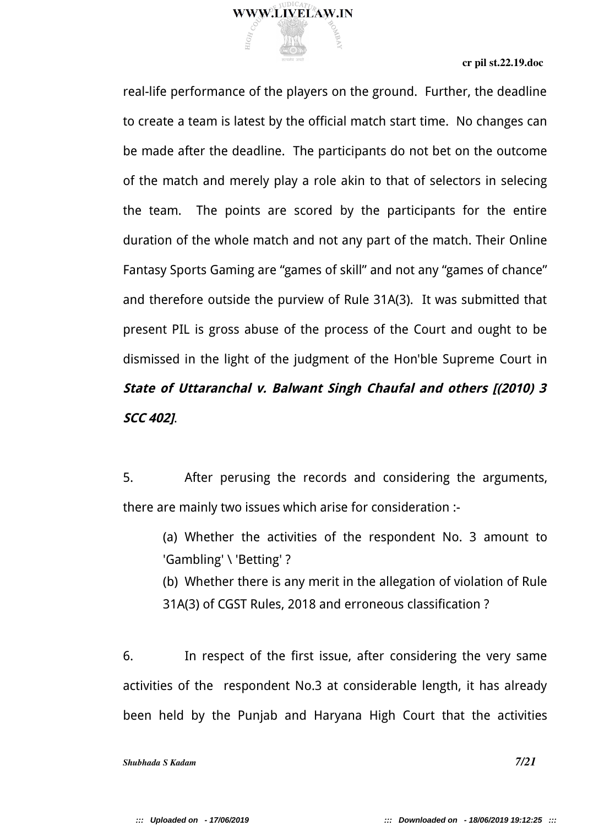

real-life performance of the players on the ground. Further, the deadline to create a team is latest by the official match start time. No changes can be made after the deadline. The participants do not bet on the outcome of the match and merely play a role akin to that of selectors in selecing the team. The points are scored by the participants for the entire duration of the whole match and not any part of the match. Their Online Fantasy Sports Gaming are "games of skill" and not any "games of chance" and therefore outside the purview of Rule 31A(3). It was submitted that present PIL is gross abuse of the process of the Court and ought to be dismissed in the light of the judgment of the Hon'ble Supreme Court in **State of Uttaranchal v. Balwant Singh Chaufal and others [(2010) 3 SCC 402]**.

5. After perusing the records and considering the arguments, there are mainly two issues which arise for consideration :-

(a) Whether the activities of the respondent No. 3 amount to 'Gambling' \ 'Betting' ?

(b) Whether there is any merit in the allegation of violation of Rule 31A(3) of CGST Rules, 2018 and erroneous classification ?

6. In respect of the first issue, after considering the very same activities of the respondent No.3 at considerable length, it has already been held by the Punjab and Haryana High Court that the activities

*Shubhada S Kadam 7/21*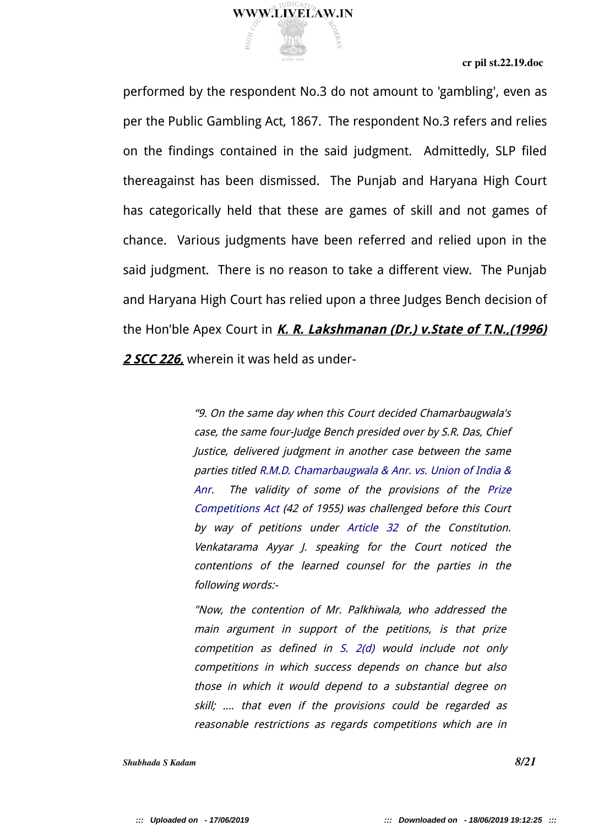

performed by the respondent No.3 do not amount to 'gambling', even as per the Public Gambling Act, 1867. The respondent No.3 refers and relies on the findings contained in the said judgment. Admittedly, SLP filed thereagainst has been dismissed. The Punjab and Haryana High Court has categorically held that these are games of skill and not games of chance. Various judgments have been referred and relied upon in the said judgment. There is no reason to take a different view. The Punjab and Haryana High Court has relied upon a three Judges Bench decision of the Hon'ble Apex Court in **K. R. Lakshmanan (Dr.) v.State of T.N.,(1996) 2 SCC 226,** wherein it was held as under-

> "9. On the same day when this Court decided Chamarbaugwala's case, the same four-Judge Bench presided over by S.R. Das, Chief Justice, delivered judgment in another case between the same parties titled R.M.D. Chamarbaugwala & Anr. vs. Union of India & Anr. The validity of some of the provisions of the Prize Competitions Act (42 of 1955) was challenged before this Court by way of petitions under Article 32 of the Constitution. Venkatarama Ayyar J. speaking for the Court noticed the contentions of the learned counsel for the parties in the following words:-

"Now, the contention of Mr. Palkhiwala, who addressed the main argument in support of the petitions, is that prize competition as defined in S. 2(d) would include not only competitions in which success depends on chance but also those in which it would depend to a substantial degree on skill; .... that even if the provisions could be regarded as reasonable restrictions as regards competitions which are in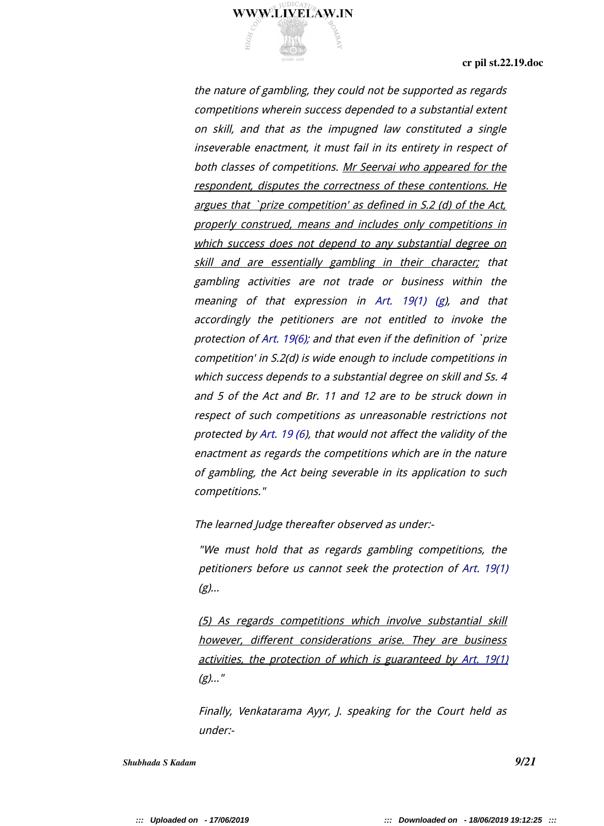

the nature of gambling, they could not be supported as regards competitions wherein success depended to a substantial extent on skill, and that as the impugned law constituted a single inseverable enactment, it must fail in its entirety in respect of both classes of competitions. Mr Seervai who appeared for the respondent, disputes the correctness of these contentions. He argues that `prize competition' as defined in S.2 (d) of the Act, properly construed, means and includes only competitions in which success does not depend to any substantial degree on skill and are essentially gambling in their character; that gambling activities are not trade or business within the meaning of that expression in Art. 19(1) (g), and that accordingly the petitioners are not entitled to invoke the protection of Art. 19(6); and that even if the definition of `prize competition' in S.2(d) is wide enough to include competitions in which success depends to a substantial degree on skill and Ss. 4 and 5 of the Act and Br. 11 and 12 are to be struck down in respect of such competitions as unreasonable restrictions not protected by Art. 19 (6), that would not affect the validity of the enactment as regards the competitions which are in the nature of gambling, the Act being severable in its application to such competitions."

The learned Judge thereafter observed as under:-

"We must hold that as regards gambling competitions, the petitioners before us cannot seek the protection of Art. 19(1)  $(g)$ ...

(5) As regards competitions which involve substantial skill however, different considerations arise. They are business activities, the protection of which is guaranteed by Art. 19(1)  $(g)$ ..."

Finally, Venkatarama Ayyr, J. speaking for the Court held as under:-

*Shubhada S Kadam 9/21*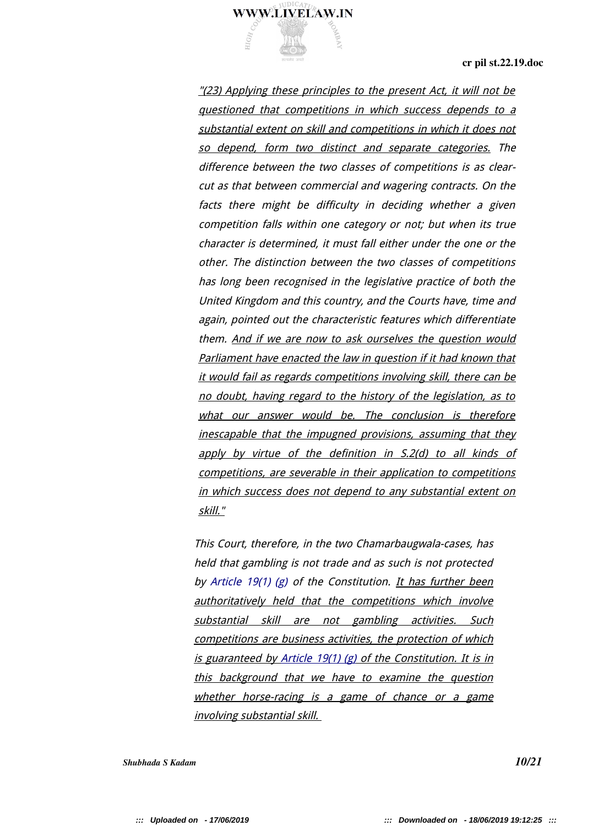

"(23) Applying these principles to the present Act, it will not be questioned that competitions in which success depends to <sup>a</sup> substantial extent on skill and competitions in which it does not so depend, form two distinct and separate categories. The difference between the two classes of competitions is as clearcut as that between commercial and wagering contracts. On the facts there might be difficulty in deciding whether <sup>a</sup> given competition falls within one category or not; but when its true character is determined, it must fall either under the one or the other. The distinction between the two classes of competitions has long been recognised in the legislative practice of both the United Kingdom and this country, and the Courts have, time and again, pointed out the characteristic features which differentiate them. And if we are now to ask ourselves the question would Parliament have enacted the law in question if it had known that it would fail as regards competitions involving skill, there can be no doubt, having regard to the history of the legislation, as to what our answer would be. The conclusion is therefore inescapable that the impugned provisions, assuming that they apply by virtue of the definition in S.2(d) to all kinds of competitions, are severable in their application to competitions in which success does not depend to any substantial extent on skill."

This Court, therefore, in the two Chamarbaugwala-cases, has held that gambling is not trade and as such is not protected by Article 19(1) (g) of the Constitution. It has further been authoritatively held that the competitions which involve substantial skill are not gambling activities. Such competitions are business activities, the protection of which is guaranteed by Article 19(1) (g) of the Constitution. It is in this background that we have to examine the question whether horse-racing is a game of chance or a game involving substantial skill.

*Shubhada S Kadam 10/21*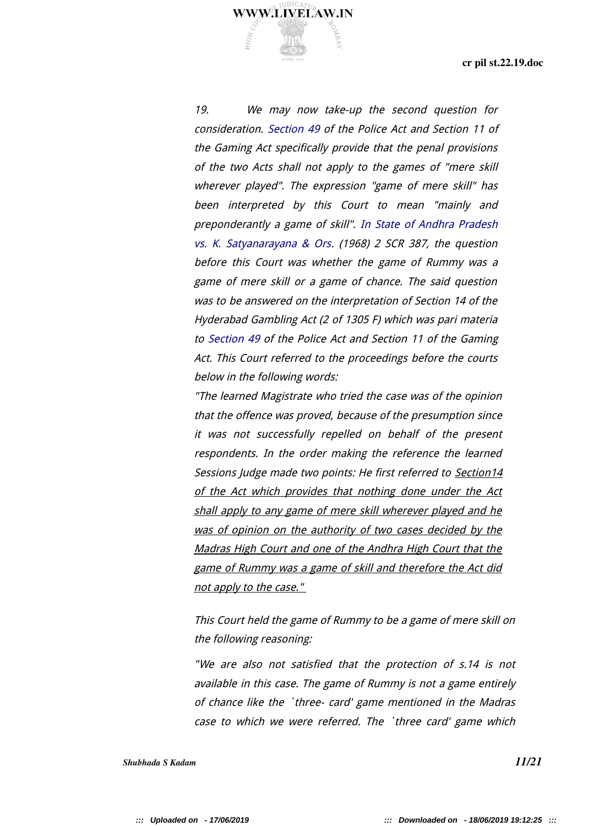19. We may now take-up the second question for consideration. Section 49 of the Police Act and Section 11 of the Gaming Act specifically provide that the penal provisions of the two Acts shall not apply to the games of "mere skill wherever played". The expression "game of mere skill" has been interpreted by this Court to mean "mainly and preponderantly a game of skill". In State of Andhra Pradesh vs. K. Satyanarayana & Ors. (1968) 2 SCR 387, the question before this Court was whether the game of Rummy was a game of mere skill or a game of chance. The said question was to be answered on the interpretation of Section 14 of the Hyderabad Gambling Act (2 of 1305 F) which was pari materia to Section 49 of the Police Act and Section 11 of the Gaming Act. This Court referred to the proceedings before the courts below in the following words:

**WWW.LIVELAW.IN** 

"The learned Magistrate who tried the case was of the opinion that the offence was proved, because of the presumption since it was not successfully repelled on behalf of the present respondents. In the order making the reference the learned Sessions Judge made two points: He first referred to Section14 of the Act which provides that nothing done under the Act shall apply to any game of mere skill wherever played and he was of opinion on the authority of two cases decided by the Madras High Court and one of the Andhra High Court that the game of Rummy was a game of skill and therefore the Act did not apply to the case."

This Court held the game of Rummy to be a game of mere skill on the following reasoning:

"We are also not satisfied that the protection of s.14 is not available in this case. The game of Rummy is not a game entirely of chance like the `three- card' game mentioned in the Madras case to which we were referred. The `three card' game which

*Shubhada S Kadam 11/21*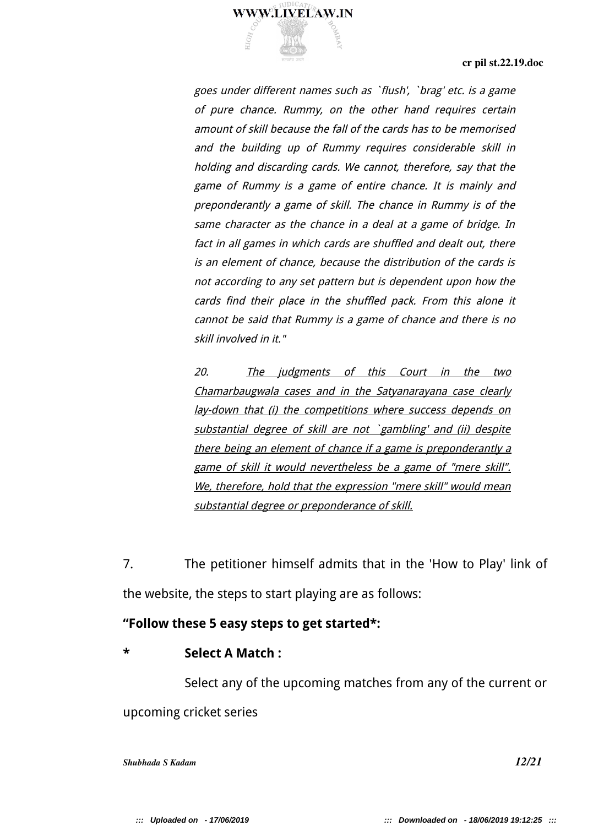

goes under different names such as `flush', `brag' etc. is a game of pure chance. Rummy, on the other hand requires certain amount of skill because the fall of the cards has to be memorised and the building up of Rummy requires considerable skill in holding and discarding cards. We cannot, therefore, say that the game of Rummy is a game of entire chance. It is mainly and preponderantly a game of skill. The chance in Rummy is of the same character as the chance in a deal at a game of bridge. In fact in all games in which cards are shuffled and dealt out, there is an element of chance, because the distribution of the cards is not according to any set pattern but is dependent upon how the cards find their place in the shuffled pack. From this alone it cannot be said that Rummy is a game of chance and there is no skill involved in it."

20. The judgments of this Court in the two Chamarbaugwala cases and in the Satyanarayana case clearly lay-down that (i) the competitions where success depends on substantial degree of skill are not `gambling' and (ii) despite there being an element of chance if a game is preponderantly a game of skill it would nevertheless be a game of "mere skill". We, therefore, hold that the expression "mere skill" would mean substantial degree or preponderance of skill.

7. The petitioner himself admits that in the 'How to Play' link of the website, the steps to start playing are as follows:

## **"Follow these 5 easy steps to get started\*:**

## **\* Select A Match :**

Select any of the upcoming matches from any of the current or upcoming cricket series

*Shubhada S Kadam 12/21*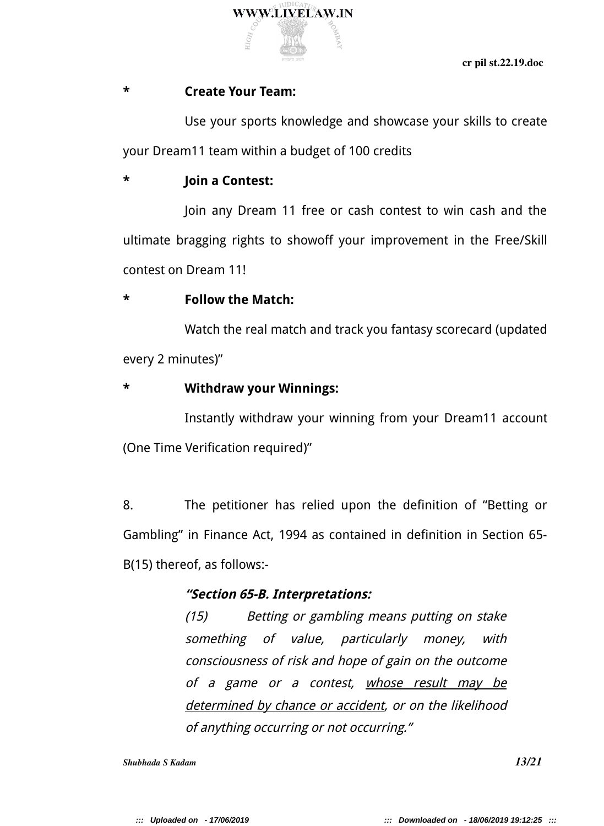

## **\* Create Your Team:**

Use your sports knowledge and showcase your skills to create your Dream11 team within a budget of 100 credits

# **\* Join a Contest:**

Join any Dream 11 free or cash contest to win cash and the ultimate bragging rights to showoff your improvement in the Free/Skill contest on Dream 11!

## **\* Follow the Match:**

Watch the real match and track you fantasy scorecard (updated every 2 minutes)"

## **\* Withdraw your Winnings:**

Instantly withdraw your winning from your Dream11 account (One Time Verification required)"

8. The petitioner has relied upon the definition of "Betting or Gambling" in Finance Act, 1994 as contained in definition in Section 65- B(15) thereof, as follows:-

# **"Section 65-B. Interpretations:**

(15) Betting or gambling means putting on stake something of value, particularly money, with consciousness of risk and hope of gain on the outcome of a game or a contest, whose result may be determined by chance or accident, or on the likelihood of anything occurring or not occurring."

*Shubhada S Kadam*  **13/21**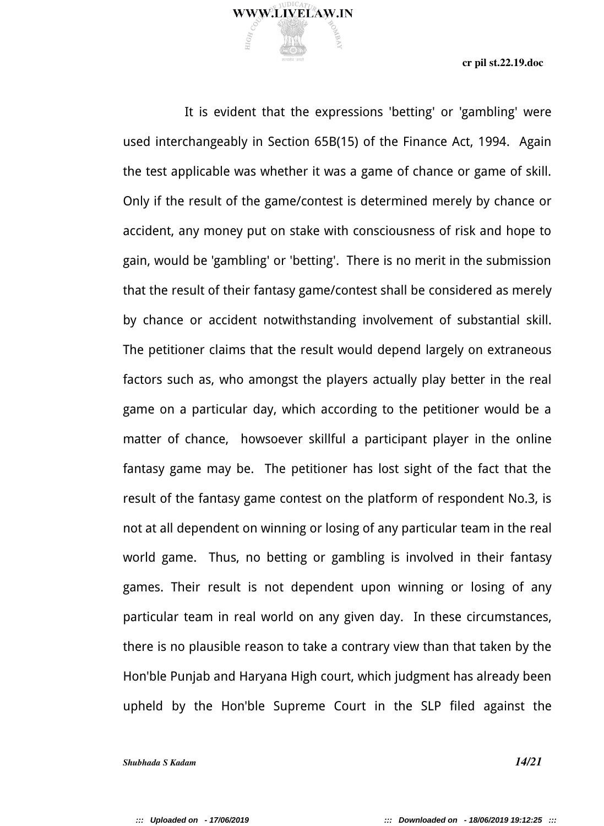

It is evident that the expressions 'betting' or 'gambling' were used interchangeably in Section 65B(15) of the Finance Act, 1994. Again the test applicable was whether it was a game of chance or game of skill. Only if the result of the game/contest is determined merely by chance or accident, any money put on stake with consciousness of risk and hope to gain, would be 'gambling' or 'betting'. There is no merit in the submission that the result of their fantasy game/contest shall be considered as merely by chance or accident notwithstanding involvement of substantial skill. The petitioner claims that the result would depend largely on extraneous factors such as, who amongst the players actually play better in the real game on a particular day, which according to the petitioner would be a matter of chance, howsoever skillful a participant player in the online fantasy game may be. The petitioner has lost sight of the fact that the result of the fantasy game contest on the platform of respondent No.3, is not at all dependent on winning or losing of any particular team in the real world game. Thus, no betting or gambling is involved in their fantasy games. Their result is not dependent upon winning or losing of any particular team in real world on any given day. In these circumstances, there is no plausible reason to take a contrary view than that taken by the Hon'ble Punjab and Haryana High court, which judgment has already been upheld by the Hon'ble Supreme Court in the SLP filed against the

*Shubhada S Kadam 14/21*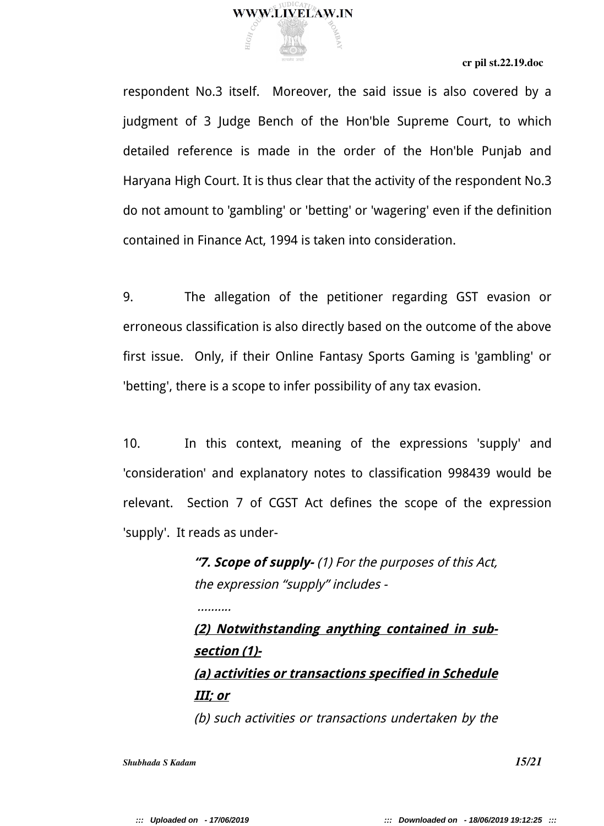

respondent No.3 itself. Moreover, the said issue is also covered by a judgment of 3 Judge Bench of the Hon'ble Supreme Court, to which detailed reference is made in the order of the Hon'ble Punjab and Haryana High Court. It is thus clear that the activity of the respondent No.3 do not amount to 'gambling' or 'betting' or 'wagering' even if the definition contained in Finance Act, 1994 is taken into consideration.

9. The allegation of the petitioner regarding GST evasion or erroneous classification is also directly based on the outcome of the above first issue. Only, if their Online Fantasy Sports Gaming is 'gambling' or 'betting', there is a scope to infer possibility of any tax evasion.

10. In this context, meaning of the expressions 'supply' and 'consideration' and explanatory notes to classification 998439 would be relevant. Section 7 of CGST Act defines the scope of the expression 'supply'. It reads as under-

> **"7. Scope of supply-** (1) For the purposes of this Act, the expression "supply" includes -

**(2) Notwithstanding anything contained in subsection (1)- (a) activities or transactions specified in Schedule III; or** (b) such activities or transactions undertaken by the

*Shubhada S Kadam 15/21*

........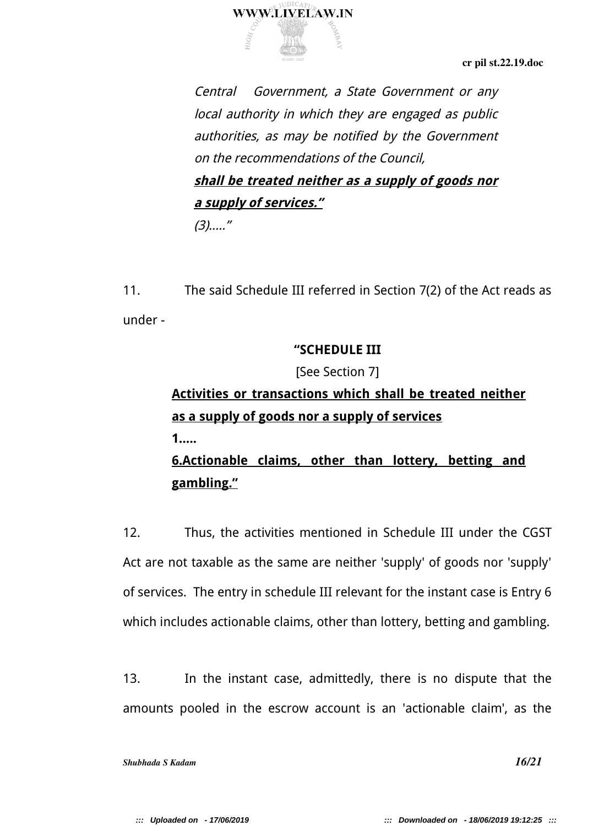

Central Government, a State Government or any local authority in which they are engaged as public authorities, as may be notified by the Government on the recommendations of the Council, **shall be treated neither as a supply of goods nor a supply of services."**  $(3)$ ....."

11. The said Schedule III referred in Section 7(2) of the Act reads as under -

# **"SCHEDULE III**

[See Section 7]

# **Activities or transactions which shall be treated neither as a supply of goods nor a supply of services**

**1.....**

# **6.Actionable claims, other than lottery, betting and gambling."**

12. Thus, the activities mentioned in Schedule III under the CGST Act are not taxable as the same are neither 'supply' of goods nor 'supply' of services. The entry in schedule III relevant for the instant case is Entry 6 which includes actionable claims, other than lottery, betting and gambling.

13. In the instant case, admittedly, there is no dispute that the amounts pooled in the escrow account is an 'actionable claim', as the

*Shubhada S Kadam 16/21*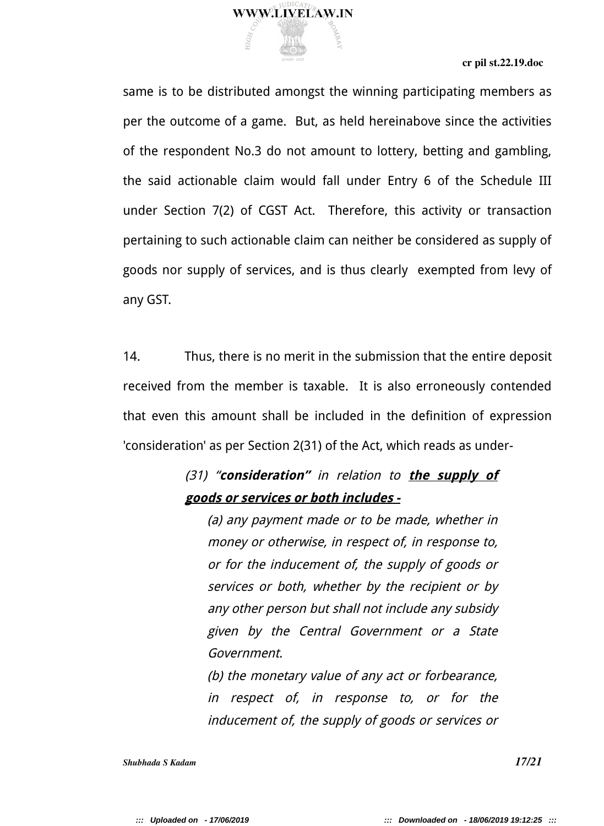

same is to be distributed amongst the winning participating members as per the outcome of a game. But, as held hereinabove since the activities of the respondent No.3 do not amount to lottery, betting and gambling, the said actionable claim would fall under Entry 6 of the Schedule III under Section 7(2) of CGST Act. Therefore, this activity or transaction pertaining to such actionable claim can neither be considered as supply of goods nor supply of services, and is thus clearly exempted from levy of any GST.

14. Thus, there is no merit in the submission that the entire deposit received from the member is taxable. It is also erroneously contended that even this amount shall be included in the definition of expression 'consideration' as per Section 2(31) of the Act, which reads as under-

# (31) "**consideration"** in relation to **the supply of goods or services or both includes -**

(a) any payment made or to be made, whether in money or otherwise, in respect of, in response to, or for the inducement of, the supply of goods or services or both, whether by the recipient or by any other person but shall not include any subsidy given by the Central Government or <sup>a</sup> State Government.

(b) the monetary value of any act or forbearance, in respect of, in response to, or for the inducement of, the supply of goods or services or

*Shubhada S Kadam 17/21*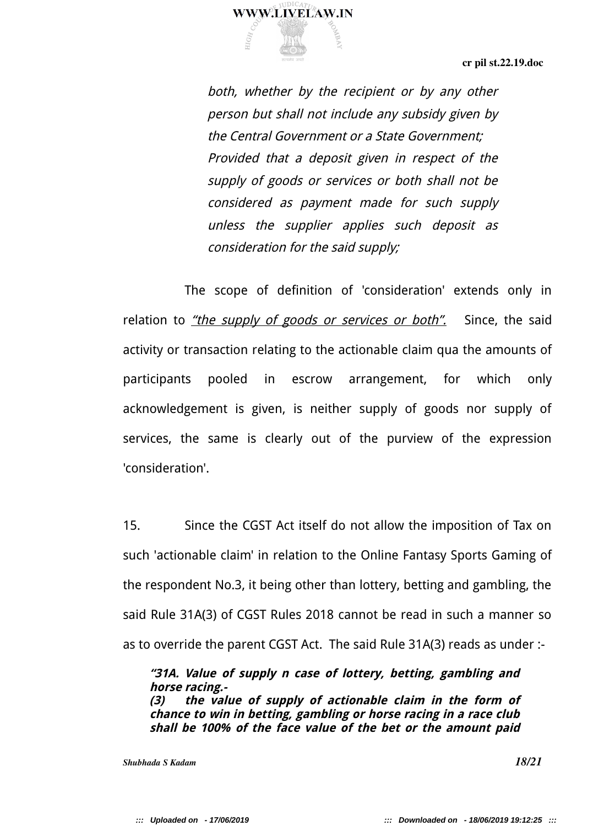

both, whether by the recipient or by any other person but shall not include any subsidy given by the Central Government or a State Government; Provided that <sup>a</sup> deposit given in respect of the supply of goods or services or both shall not be considered as payment made for such supply unless the supplier applies such deposit as consideration for the said supply;

The scope of definition of 'consideration' extends only in relation to *"the supply of goods or services or both"*. Since, the said activity or transaction relating to the actionable claim qua the amounts of participants pooled in escrow arrangement, for which only acknowledgement is given, is neither supply of goods nor supply of services, the same is clearly out of the purview of the expression 'consideration'.

15. Since the CGST Act itself do not allow the imposition of Tax on such 'actionable claim' in relation to the Online Fantasy Sports Gaming of the respondent No.3, it being other than lottery, betting and gambling, the said Rule 31A(3) of CGST Rules 2018 cannot be read in such a manner so as to override the parent CGST Act. The said Rule 31A(3) reads as under :-

**"31A. Value of supply n case of lottery, betting, gambling and horse racing.- (3) the value of supply of actionable claim in the form of chance to win in betting, gambling or horse racing in a race club shall be 100% of the face value of the bet or the amount paid**

*Shubhada S Kadam*  **18/21**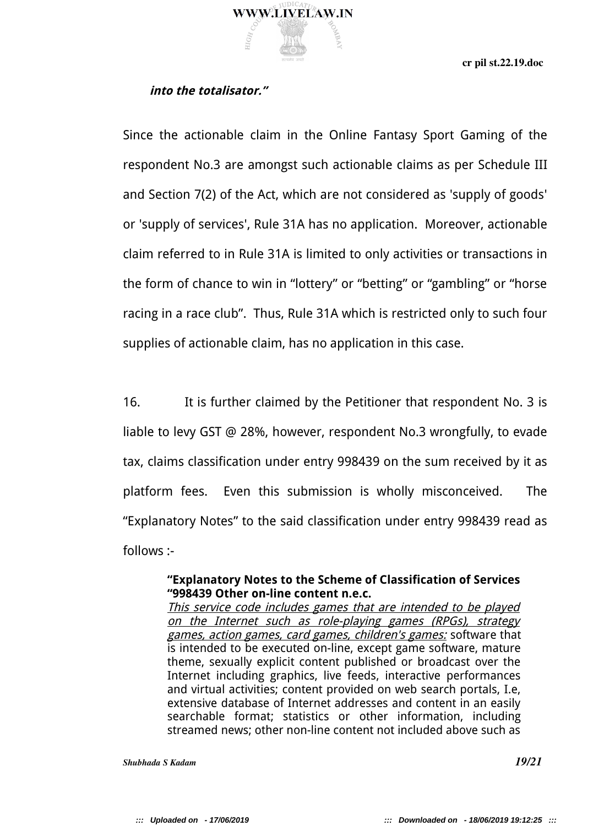

## **into the totalisator."**

Since the actionable claim in the Online Fantasy Sport Gaming of the respondent No.3 are amongst such actionable claims as per Schedule III and Section 7(2) of the Act, which are not considered as 'supply of goods' or 'supply of services', Rule 31A has no application. Moreover, actionable claim referred to in Rule 31A is limited to only activities or transactions in the form of chance to win in "lottery" or "betting" or "gambling" or "horse racing in a race club". Thus, Rule 31A which is restricted only to such four supplies of actionable claim, has no application in this case.

16. It is further claimed by the Petitioner that respondent No. 3 is liable to levy GST @ 28%, however, respondent No.3 wrongfully, to evade tax, claims classification under entry 998439 on the sum received by it as platform fees. Even this submission is wholly misconceived. The "Explanatory Notes" to the said classification under entry 998439 read as follows :-

### **"Explanatory Notes to the Scheme of Classification of Services "998439 Other on-line content n.e.c.**

This service code includes games that are intended to be played on the Internet such as role-playing games (RPGs), strategy games, action games, card games, children's games: software that is intended to be executed on-line, except game software, mature theme, sexually explicit content published or broadcast over the Internet including graphics, live feeds, interactive performances and virtual activities; content provided on web search portals, I.e, extensive database of Internet addresses and content in an easily searchable format; statistics or other information, including streamed news; other non-line content not included above such as

*Shubhada S Kadam 19/21*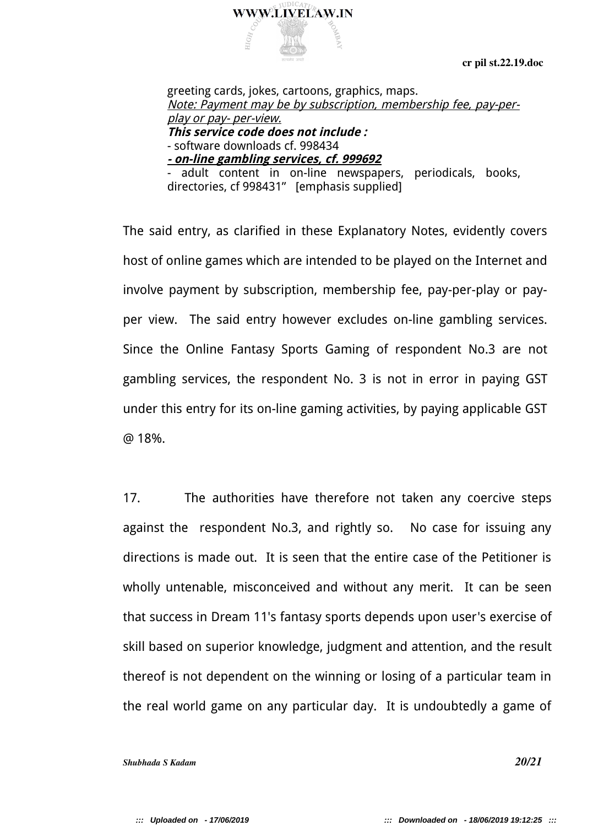

greeting cards, jokes, cartoons, graphics, maps. Note: Payment may be by subscription, membership fee, pay-perplay or pay- per-view. **This service code does not include :** - software downloads cf. 998434 **- on-line gambling services, cf. 999692** adult content in on-line newspapers, periodicals, books,

directories, cf 998431" [emphasis supplied]

The said entry, as clarified in these Explanatory Notes, evidently covers host of online games which are intended to be played on the Internet and involve payment by subscription, membership fee, pay-per-play or payper view. The said entry however excludes on-line gambling services. Since the Online Fantasy Sports Gaming of respondent No.3 are not gambling services, the respondent No. 3 is not in error in paying GST under this entry for its on-line gaming activities, by paying applicable GST @ 18%.

17. The authorities have therefore not taken any coercive steps against the respondent No.3, and rightly so. No case for issuing any directions is made out. It is seen that the entire case of the Petitioner is wholly untenable, misconceived and without any merit. It can be seen that success in Dream 11's fantasy sports depends upon user's exercise of skill based on superior knowledge, judgment and attention, and the result thereof is not dependent on the winning or losing of a particular team in the real world game on any particular day. It is undoubtedly a game of

*Shubhada S Kadam* 20021